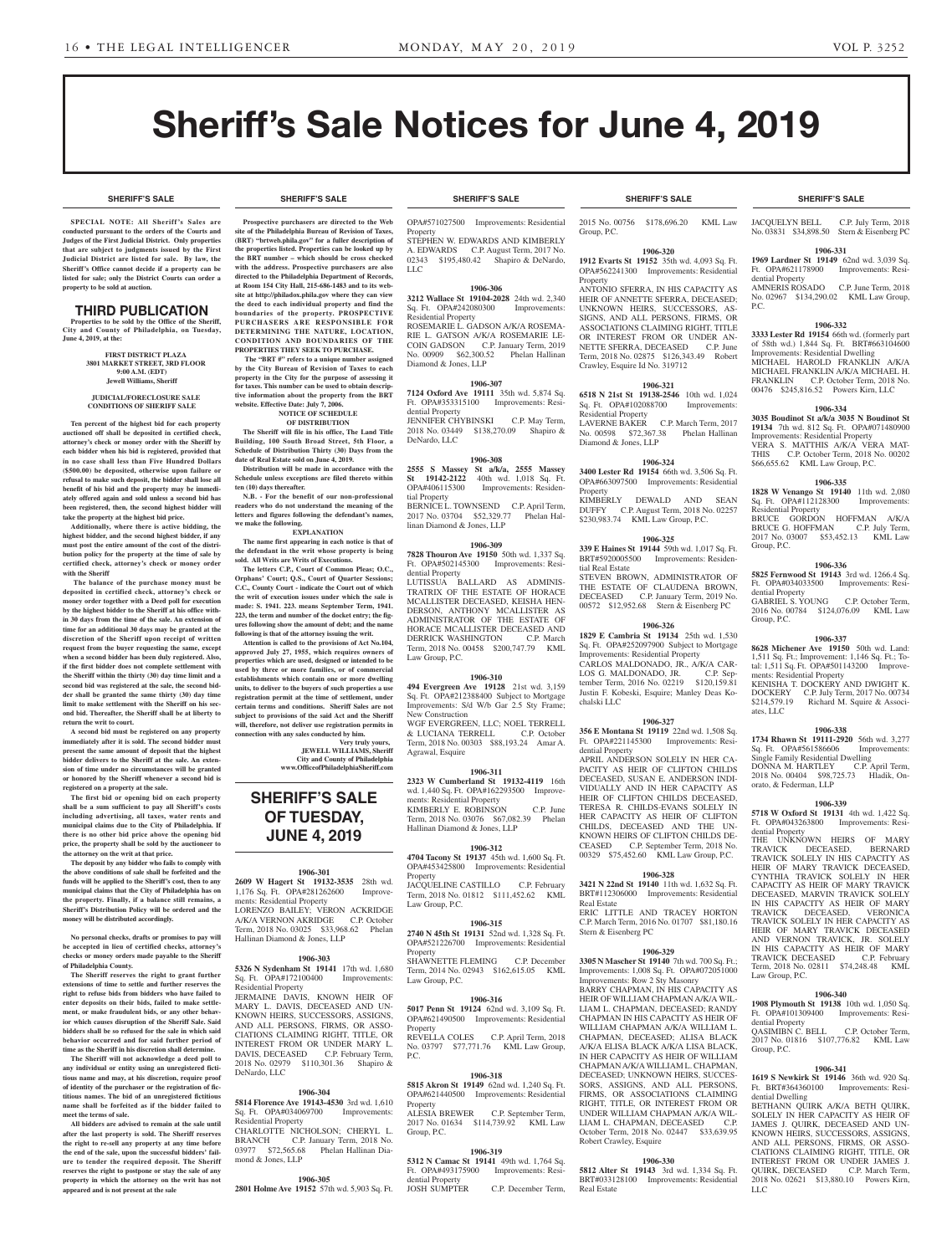**SHERIFF'S SALE SHERIFF'S SALE SHERIFF'S SALE SHERIFF'S SALE SHERIFF'S SALE**

# **Sheriff's Sale Notices for June 4, 2019**

**SPECIAL NOTE: All Sheriff 's Sales are conducted pursuant to the orders of the Courts and Judges of the First Judicial District. Only properties that are subject to judgments issued by the First Judicial District are listed for sale. By law, the Sheriff's Office cannot decide if a property can be listed for sale; only the District Courts can order a property to be sold at auction.** 

# **THIRD PUBLICATION**

**Properties to be sold by the Office of the Sheriff, City and County of Philadelphia, on Tuesday, June 4, 2019, at the:** 

#### **FIRST DISTRICT PLAZA 3801 MARKET STREET, 3RD FLOOR 9:00 A.M. (EDT) Jewell Williams, Sheriff**

#### **JUDICIAL/FORECLOSURE SALE CONDITIONS OF SHERIFF SALE**

**Ten percent of the highest bid for each property auctioned off shall be deposited in certified check, attorney's check or money order with the Sheriff by each bidder when his bid is registered, provided that in no case shall less than Five Hundred Dollars (\$500.00) be deposited, otherwise upon failure or refusal to make such deposit, the bidder shall lose all benefit of his bid and the property may be immediately offered again and sold unless a second bid has been registered, then, the second highest bidder will take the property at the highest bid price.**

**Additionally, where there is active bidding, the highest bidder, and the second highest bidder, if any must post the entire amount of the cost of the distribution policy for the property at the time of sale by certified check, attorney's check or money order with the Sheriff**

 **The balance of the purchase money must be deposited in certified check, attorney's check or money order together with a Deed poll for execution by the highest bidder to the Sheriff at his office within 30 days from the time of the sale. An extension of time for an additional 30 days may be granted at the discretion of the Sheriff upon receipt of written request from the buyer requesting the same, except when a second bidder has been duly registered. Also, if the first bidder does not complete settlement with the Sheriff within the thirty (30) day time limit and a second bid was registered at the sale, the second bidder shall be granted the same thirty (30) day time limit to make settlement with the Sheriff on his second bid. Thereafter, the Sheriff shall be at liberty to return the writ to court.**

**A second bid must be registered on any property immediately after it is sold. The second bidder must present the same amount of deposit that the highest bidder delivers to the Sheriff at the sale. An extension of time under no circumstances will be granted or honored by the Sheriff whenever a second bid is registered on a property at the sale.** 

**The first bid or opening bid on each property shall be a sum sufficient to pay all Sheriff's costs including advertising, all taxes, water rents and municipal claims due to the City of Philadelphia. If there is no other bid price above the opening bid price, the property shall be sold by the auctioneer to the attorney on the writ at that price.**

**The deposit by any bidder who fails to comply with the above conditions of sale shall be forfeited and the funds will be applied to the Sheriff's cost, then to any municipal claims that the City of Philadelphia has on the property. Finally, if a balance still remains, a Sheriff's Distribution Policy will be ordered and the money will be distributed accordingly.**

**No personal checks, drafts or promises to pay will be accepted in lieu of certified checks, attorney's checks or money orders made payable to the Sheriff of Philadelphia County.**

**The Sheriff reserves the right to grant further extensions of time to settle and further reserves the right to refuse bids from bidders who have failed to enter deposits on their bids, failed to make settlement, or make fraudulent bids, or any other behavior which causes disruption of the Sheriff Sale. Said bidders shall be so refused for the sale in which said behavior occurred and for said further period of time as the Sheriff in his discretion shall determine.**

**The Sheriff will not acknowledge a deed poll to any individual or entity using an unregistered fictitious name and may, at his discretion, require proof of identity of the purchaser or the registration of fictitious names. The bid of an unregistered fictitious name shall be forfeited as if the bidder failed to meet the terms of sale.**

**All bidders are advised to remain at the sale until after the last property is sold. The Sheriff reserves the right to re-sell any property at any time before the end of the sale, upon the successful bidders' failure to tender the required deposit. The Sheriff reserves the right to postpone or stay the sale of any property in which the attorney on the writ has not appeared and is not present at the sale**

# **SHERIFF'S SALE SHERIFF'S SALE SHERIFF'S SALE SHERIFF'S SALE SHERIFF'S SALE**

**Prospective purchasers are directed to the Web site of the Philadelphia Bureau of Revision of Taxes, (BRT) "brtweb.phila.gov" for a fuller description of the properties listed. Properties can be looked up by the BRT number – which should be cross checked with the address. Prospective purchasers are also directed to the Philadelphia Department of Records, at Room 154 City Hall, 215-686-1483 and to its website at http://philadox.phila.gov where they can view the deed to each individual property and find the boundaries of the property. PROSPECTIVE PURCHASERS ARE RESPONSIBLE FOR DETERMINING THE NATURE, LOCATION, CONDITION AND BOUNDARIES OF THE PROPERTIES THEY SEEK TO PURCHASE.**

The "BRT #" refers to a unique number assigned **by the City Bureau of Revision of Taxes to each property in the City for the purpose of assessing it for taxes. This number can be used to obtain descriptive information about the property from the BRT**  website. Effective Date: July 7, 20 **NOTICE OF SCHEDULE** 

# **OF DISTRIBUTION**

**The Sheriff will file in his office, The Land Title Building, 100 South Broad Street, 5th Floor, a Schedule of Distribution Thirty (30) Days from the date of Real Estate sold on June 4, 2019.**

**Distribution will be made in accordance with the Schedule unless exceptions are filed thereto within ten (10) days thereafter. N.B. - For the benefit of our non-professional** 

**readers who do not understand the meaning of the letters and figures following the defendant's names, we make the following. EXPLANATION**

**The name first appearing in each notice is that of the defendant in the writ whose property is being** 

**sold. All Writs are Writs of Executions. The letters C.P., Court of Common Pleas; O.C., Orphans' Court; Q.S., Court of Quarter Session C.C., County Court - indicate the Court out of which the writ of execution issues under which the sale is made: S. 1941. 223. means September Term, 1941.** 

**223, the term and number of the docket entry; the figures following show the amount of debt; and the name following is that of the attorney issuing the writ. Attention is called to the provisions of Act No.104, approved July 27, 1955, which requires owners of** 

**properties which are used, designed or intended to be used by three or more families, or of commercial establishments which contain one or more dwelling units, to deliver to the buyers of such properties a use registration permit at the time of settlement, under certain terms and conditions. Sheriff Sales are not subject to provisions of the said Act and the Sheriff will, therefore, not deliver use registration permits in connection with any sales conducted by him.**

**Very truly yours, JEWELL WILLIAMS, Sheriff City and County of Philadelphia www.OfficeofPhiladelphiaSheriff.com**

# **SHERIFF'S SALE OF TUESDAY, JUNE 4, 2019**

# **1906-301**

**2609 W Hagert St 19132-3535** 28th wd. 1,176 Sq. Ft. OPA#281262600 ments: Residential Property LORENZO BAILEY; VERON ACKRIDGE A/K/A VERNON AKRIDGE C.P. October Term, 2018 No. 03025 \$33,968.62 Phelan Hallinan Diamond & Jones, LLP

# **1906-303**

**5326 N Sydenham St 19141** 17th wd. 1,680 Sq. Ft. OPA#172100400 Improvements: Residential Property JERMAINE DAVIS, KNOWN HEIR OF MARY L. DAVIS, DECEASED AND UN-KNOWN HEIRS, SUCCESSORS, ASSIGNS, AND ALL PERSONS, FIRMS, OR ASSO-CIATIONS CLAIMING RIGHT, TITLE, OR INTEREST FROM OR UNDER MAR DAVIS, DECEASED C.P. February Term,

# **1906-304**

**5814 Florence Ave 19143-4530** 3rd wd. 1,610<br>Sq. Ft. OPA#034069700 Improvements: Sq. Ft. OPA#034069700 Residential Property CHARLOTTE NICHOLSON; CHERYL L.

2018 No. 02979 \$110,301.36 Shapiro &

DeNardo, LLC

BRANCH C.P. January Term, 2018 No. 03977 \$72,565.68 Phelan Hallinan Diamond & Jones, LLP

# **1906-305**

**2801 Holme Ave 19152** 57th wd. 5,903 Sq. Ft.

OPA#571027500 Improvements: Residential **Property** STEPHEN W. EDWARDS AND KIMBERLY A. EDWARDS C.P. August Term, 2017 No.<br>02343 \$195,480.42 Shapiro & DeNardo. \$195,480.42 Shapiro & DeNardo, LLC

# **1906-306**

**3212 Wallace St 19104-2028** 24th wd. 2,340<br>Sq. Ft. OPA#242080300 Improvements: Sq. Ft. OPA#242080300 Residential Property ROSEMARIE L. GADSON A/K/A ROSEMA-RIE L. GATSON A/K/A ROSEMARIE LE-COIN GADSON C.P. January Term, 2019 No. 00909 \$62,300.52 Phelan Hallinan Diamond & Jones, LLP

### **1906-307**

**7124 Oxford Ave 19111** 35th wd. 5,874 Sq. Ft. OPA#353315100 Improvements: Residential Property JENNIFER CHYBINSKI C.P. May Term 2018 No. 03449 \$138,270.09 Shapiro &

DeNardo, LLC

# **1906-308**

**2555 S Massey St a/k/a, 2555 Massey St 19142-2122** 40th wd. 1,018 Sq. Ft. OPA#406115300 Improvements: Residential Property BERNICE L. TOWNSEND C.P. April Term,<br>2017 No. 03704 \$52,329.77 Phelan Hal-

2017 No. 03704 \$52,329.77 linan Diamond & Jones, LLP

# **1906-309**

**7828 Thouron Ave 19150** 50th wd. 1,337 Sq. Ft. OPA#502145300 Improvements: Residential Property

LUTISSUA BALLARD AS ADMINIS-TRATRIX OF THE ESTATE OF HORACE MCALLISTER DECEASED, KEISHA HEN-DERSON, ANTHONY MCALLISTER AS ADMINISTRATOR OF THE ESTATE OF HORACE MCALLISTER DECEASED AND<br>DERRICK WASHINGTON C.P. March DERRICK WASHINGTON Term, 2018 No. 00458 \$200,747.79 KML Law Group, P.C.

# **1906-310**

**494 Evergreen Ave 19128** 21st wd. 3,159 Sq. Ft. OPA#212388400 Subject to Mortgage Improvements: S/d W/b Gar 2.5 Sty Frame; New Construction WGF EVERGREEN, LLC; NOEL TERRELL & LUCIANA TERRELL C.P. October Term, 2018 No. 00303 \$88,193.24 Amar A. Agrawal, Esquire

# **1906-311**

**2323 W Cumberland St 19132-4119** 16th wd. 1,440 Sq. Ft. OPA#162293500 Improvements: Residential Property KIMBERLY E. ROBINSON C.P. June

Term, 2018 No. 03076 \$67,082.39 Phelan Hallinan Diamond & Jones, LLP

# **1906-312**

**4704 Tacony St 19137** 45th wd. 1,600 Sq. Ft. OPA#453425800 Improvements: Residential **Property** JACQUELINE CASTILLO C.P. February Term, 2018 No. 01812 \$111,452.62 KML

Law Group, P.C.

# **1906-315**

**2740 N 45th St 19131** 52nd wd. 1,328 Sq. Ft. OPA#521226700 Improvements: Residential Property SHAWNETTE FLEMING C.P. December Term, 2014 No. 02943 \$162,615.05 KML

Law Group, P.C.

# **1906-316**

**5017 Penn St 19124** 62nd wd. 3,109 Sq. Ft. OPA#621490500 Improvements: Residential Property REVELLA COLES C.P. April Term, 2018 No. 03797 \$77,771.76 KML Law Group,

# **1906-318**

P.C.

**5815 Akron St 19149** 62nd wd. 1,240 Sq. Ft. OPA#621440500 Improvements: Residential

Property<br>ALESIA BREWER C.P. September Term, 2017 No. 01634 \$114,739.92 KML Law Group, P.C.

# **1906-319**

**5312 N Camac St 19141** 49th wd. 1,764 Sq. Ft. OPA#493175900 Improvements: Residential Property<br>JOSH SUMPTER C.P. December Term,

2015 No. 00756 \$178,696.20 KML Law Group, P.C.

# **1906-320**

**1912 Evarts St 19152** 35th wd. 4,093 Sq. Ft. OPA#562241300 Improvements: Residential Property

ANTONIO SFERRA, IN HIS CAPACITY AS HEIR OF ANNETTE SFERRA, DECEASED; UNKNOWN HEIRS, SUCCESSORS, AS-SIGNS, AND ALL PERSONS, FIRMS, OR ASSOCIATIONS CLAIMING RIGHT, TITLE OR INTEREST FROM OR UNDER AN-NETTE SFERRA, DECEASED C.P. June Term, 2018 No. 02875 \$126,343.49 Robert Crawley, Esquire Id No. 319712

# **1906-321**

**6518 N 21st St 19138-2546** 10th wd. 1,024 Sq. Ft. OPA#102088700 Residential Property LAVERNE BAKER C.P. March Term, 2017<br>No. 00598 \$72,367.38 Phelan Hallinan No. 00598 \$72,367.38 Diamond & Jones, LLP

## **1906-324 3400 Lester Rd 19154** 66th wd. 3,506 Sq. Ft. OPA#663097500 Improvements: Residential

Property<br>KIMBERLY DEWALD AND SEAN DUFFY C.P. August Term, 2018 No. 02257 \$230,983.74 KML Law Group, P.C.

# **1906-325**

**339 E Haines St 19144** 59th wd. 1,017 Sq. Ft. BRT#5920005500 Improvements: Residential Real Estate STEVEN BROWN, ADMINISTRATOR OF THE ESTATE OF CLAUDENA BROWN,

DECEASED C.P. January Term, 2019 No. 00572 \$12,952.68 Stern & Eisenberg PC

#### **1906-326 1829 E Cambria St 19134** 25th wd. 1,530

Sq. Ft. OPA#252097900 Subject to Mortgage Improvements: Residential Property CARLOS MALDONADO, JR., A/K/A CAR-LOS G. MALDONADO, JR. C.P. September Term, 2016 No. 02219 \$120,159.81 Justin F. Kobeski, Esquire; Manley Deas Kochalski LLC

# **1906-327**

**356 E Montana St 19119** 22nd wd. 1,508 Sq. Ft. OPA#221145300 Improvements: Residential Property APRIL ANDERSON SOLELY IN HER CA-PACITY AS HEIR OF CLIFTON CHILDS DECEASED, SUSAN E. ANDERSON INDI-VIDUALLY AND IN HER CAPACITY AS HEIR OF CLIFTON CHILDS DECEASED, TERESA R. CHILDS-EVANS SOLELY IN HER CAPACITY AS HEIR OF CLIFTON CHILDS, DECEASED AND THE UN-KNOWN HEIRS OF CLIFTON CHILDS DE-<br>CEASED C.P. September Term. 2018 No. C.P. September Term, 2018 No. 00329 \$75,452.60 KML Law Group, P.C.

# **1906-328**

**3421 N 22nd St 19140** 11th wd. 1,632 Sq. Ft. BRT#112306000 Improvements: Residential Real Estate ERIC LITTLE AND TRACEY HORTON

C.P. March Term, 2016 No. 01707 \$81,180.16 Stern & Eisenberg PC

# **1906-329**

**3305 N Mascher St 19140** 7th wd. 700 Sq. Ft.; Improvements: 1,008 Sq. Ft. OPA#072051000 Improvements: Row 2 Sty Masonry

BARRY CHAPMAN, IN HIS CAPACITY AS HEIR OF WILLIAM CHAPMAN A/K/A WIL-LIAM L. CHAPMAN, DECEASED; RANDY CHAPMAN IN HIS CAPACITY AS HEIR OF WILLIAM CHAPMAN A/K/A WILLIAM L. CHAPMAN, DECEASED; ALISA BLACK A/K/A ELISA BLACK A/K/A LISA BLACK, IN HER CAPACITY AS HEIR OF WILLIAM CHAPMAN A/K/A WILLIAM L. CHAPMAN, DECEASED: UNKNOWN HEIRS, SUCCES-SORS, ASSIGNS, AND ALL PERSONS, FIRMS, OR ASSOCIATIONS CLAIMING RIGHT, TITLE, OR INTEREST FROM OR UNDER WILLIAM CHAPMAN A/K/A WIL-LIAM L. CHAPMAN, DECEASED October Term, 2018 No. 02447 \$33,639.95 Robert Crawley, Esquire

# **1906-330**

**5812 Alter St 19143** 3rd wd. 1,334 Sq. Ft. BRT#033128100 Improvements: Residential Real Estate

JACQUELYN BELL C.P. July Term, 2018 No. 03831 \$34,898.50 Stern & Eisenberg PC

**1906-331 1969 Lardner St 19149** 62nd wd. 3,039 Sq. Ft. OPA#621178900 Improvements: Resi-

AMNERIS ROSADO C.P. June Term, 2018 No. 02967 \$134,290.02 KML Law Group,

**1906-332 3333 Lester Rd 19154** 66th wd. (formerly part of 58th wd.) 1,844 Sq. Ft. BRT#663104600 Improvements: Residential Dwelling MICHAEL HAROLD FRANKLIN A/K/A MICHAEL FRANKLIN A/K/A MICHAEL H.<br>FRANKLIN C.P. October Term, 2018 No.

00476 \$245,816.52 Powers Kirn, LLC **1906-334 3035 Boudinot St a/k/a 3035 N Boudinot St 19134** 7th wd. 812 Sq. Ft. OPA#071480900 Improvements: Residential Property VERA S. MATTHIS A/K/A VERA MAT-THIS C.P. October Term, 2018 No. 00202 \$66,655.62 KML Law Group, P.C.

**1906-335 1828 W Venango St 19140** 11th wd. 2,080

BRUCE GORDON HOFFMAN A/K/A BRUCE G. HOFFMAN C.P. July Term, 2017 No. 03007 \$53,452.13 KML Law

**1906-336 5825 Fernwood St 19143** 3rd wd. 1266.4 Sq. Ft. OPA#034033500 Improvements: Resi-

GABRIEL S. YOUNG C.P. October Term, 2016 No. 00784 \$124,076.09 KML Law

**1906-337 8628 Michener Ave 19150** 50th wd. Land: 1,511 Sq. Ft.; Improvement: 1,146 Sq. Ft.; To-tal: 1,511 Sq. Ft. OPA#501143200 Improvements: Residential Property KENISHA T. DOCKERY AND DWIGHT K. DOCKERY C.P. July Term, 2017 No. 00734<br>\$214.579.19 Richard M. Squire & Associ-

**1906-338 1734 Rhawn St 19111-2920** 56th wd. 3,277

DONNA M. HARTLEY C.P. April Term, 2018 No. 00404 \$98,725.73 Hladik, On-

**1906-339 5718 W Oxford St 19131** 4th wd. 1,422 Sq. Ft. OPA#043263800 Improvements: Resi-

THE UNKNOWN HEIRS OF MARY<br>TRAVICK DECEASED BERNARD TRAVICK DECEASED, BERNARD TRAVICK SOLELY IN HIS CAPACITY AS HEIR OF MARY TRAVICK DECEASED, CYNTHIA TRAVICK SOLELY IN HER CAPACITY AS HEIR OF MARY TRAVICK DECEASED, MARVIN TRAVICK SOLELY IN HIS CAPACITY AS HEIR OF MARY TRAVICK DECEASED VERONICA

TRAVICK SOLELY IN HER CAPACITY AS HEIR OF MARY TRAVICK DECEASED AND VERNON TRAVICK, IR. SOLELY IN HIS CAPACITY AS HEIR OF MARY<br>TRAVICK DECEASED C.P. February TRAVICK DECEASED C.P. February Term, 2018 No. 02811 \$74,248.48 KML

**1906-340 1908 Plymouth St 19138** 10th wd. 1,050 Sq. Ft. OPA#101309400 Improvements: Resi-

QASIMIBN C. BELL C.P. October Term, 2017 No. 01816 \$107,776.82 KML Law

**1906-341 1619 S Newkirk St 19146** 36th wd. 920 Sq. Ft. BRT#364360100 Improvements: Residential Dwelling BETHANN QUIRK A/K/A BETH QUIRK, SOLELY IN HER CAPACITY AS HEIR OF JAMES J. QUIRK, DECEASED AND UN-KNOWN HEIRS, SUCCESSORS, ASSIGNS, AND ALL PERSONS, FIRMS, OR ASSO-CIATIONS CLAIMING RIGHT, TITLE, OR INTEREST FROM OR UNDER JAMES J. QUIRK, DECEASED C.P. March Term, 2018 No. 02621 \$13,880.10 Powers Kirn,

Sq. Ft. OPA#561586606 Single Family Residential Dwelling

orato, & Federman, LLP

TRAVICK DECEASED.

dential Property

Law Group, P.C.

dential Property

Group, P.C.

LLC

Richard M. Squire & Associ-

Sq. Ft. OPA#112128300 Residential Property

Group, P.C.

dential Property

Group, P.C.

ates, LLC

C.P. October Term, 2018 No.

dential Property

P.C.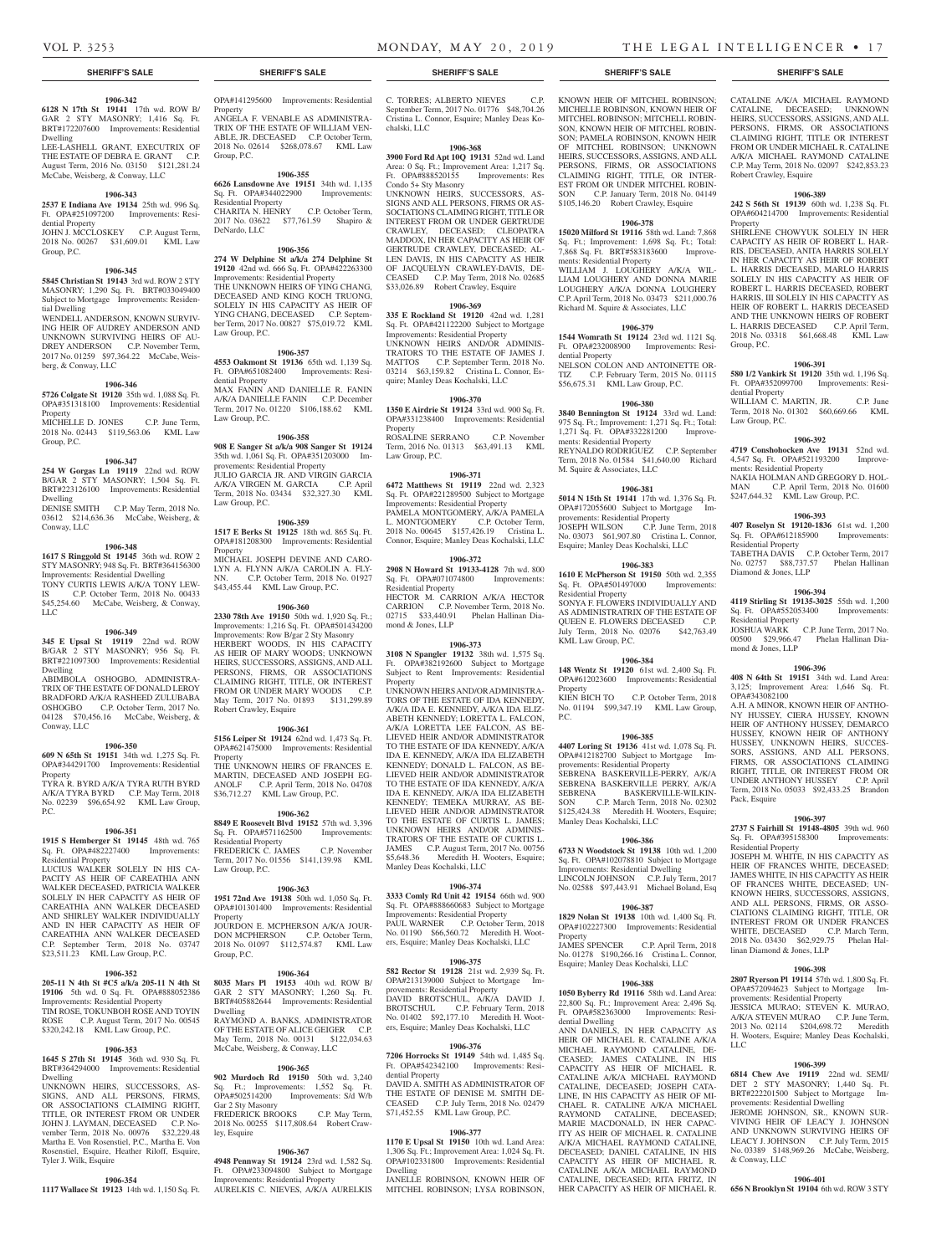# **1906-342**

**6128 N 17th St 19141** 17th wd. ROW B/ GAR 2 STY MASONRY; 1,416 Sq. Ft. BRT#172207600 Improvements: Residential Dwelling LEE-LASHELL GRANT, EXECUTRIX OF THE ESTATE OF DEBRA E. GRANT C.P.

August Term, 2016 No. 03150 \$121,281.24 McCabe, Weisberg, & Conway, LLC

# **1906-343**

**2537 E Indiana Ave 19134** 25th wd. 996 Sq. Ft. OPA#251097200 Improvements: Residential Property JOHN J. MCCLOSKEY C.P. August Term, 2018 No. 00267 \$31,609.01 KML Law Group, P.C.

# **1906-345**

**5845 Christian St 19143** 3rd wd. ROW 2 STY MASONRY; 1,290 Sq. Ft. BRT#033049400 Subject to Mortgage Improvements: Residential Dwelling

WENDELL ANDERSON, KNOWN SURVIV-ING HEIR OF AUDREY ANDERSON AND UNKNOWN SURVIVING HEIRS OF AU-DREY ANDERSON C.P. November Term, 2017 No. 01259 \$97,364.22 McCabe, Weisberg, & Conway, LLC

### **1906-346**

**5726 Colgate St 19120** 35th wd. 1,088 Sq. Ft. OPA#351318100 Improvements: Residential Property MICHELLE D. JONES C.P. June Term,

2018 No. 02443 \$119,563.06 KML Law Group, P.C.

# **1906-347**

**254 W Gorgas Ln 19119** 22nd wd. ROW B/GAR 2 STY MASONRY; 1,504 Sq. Ft. BRT#223126100 Improvements: Residential Dwelling DENISE SMITH C.P. May Term, 2018 No.

03612 \$214,636.36 McCabe, Weisberg, & Conway, LLC

# **1906-348**

**1617 S Ringgold St 19145** 36th wd. ROW 2 STY MASONRY; 948 Sq. Ft. BRT#364156300 Improvements: Residential Dwelling TONY CURTIS LEWIS A/K/A TONY LEW-IS C.P. October Term, 2018 No. 00433 \$45,254.60 McCabe, Weisberg, & Conway,  $LI$ 

### **1906-349**

**345 E Upsal St 19119** 22nd wd. ROW B/GAR 2 STY MASONRY; 956 Sq. Ft. BRT#221097300 Improvements: Residential Dwelling

ABIMBOLA OSHOGBO, ADMINISTRA-TRIX OF THE ESTATE OF DONALD LEROY BRADFORD A/K/A RASHEED ZULUBABA OSHOGBO C.P. October Term, 2017 No. 04128 \$70,456.16 McCabe, Weisberg, & Conway, LLC

# **1906-350**

**609 N 65th St 19151** 34th wd. 1,275 Sq. Ft. OPA#344291700 Improvements: Residential Property

TYRA R. BYRD A/K/A TYRA RUTH BYRD A/K/A TYRA BYRD C.P. May Term, 2018 No. 02239 \$96,654.92 KML Law Group, P.C.

# **1906-351**

**1915 S Hemberger St 19145** 48th wd. 765 Sq. Ft. OPA#482227400 Improvements: Sq. Ft. OPA#482227400

Residential Property LUCIUS WALKER SOLELY IN HIS CA-PACITY AS HEIR OF CAREATHIA ANN WALKER DECEASED, PATRICIA WALKER SOLELY IN HER CAPACITY AS HEIR OF CAREATHIA ANN WALKER DECEASED AND SHIRLEY WALKER INDIVIDUALLY AND IN HER CAPACITY AS HEIR OF CAREATHIA ANN WALKER DECEASED C.P. September Term, 2018 No. 03747 \$23,511.23 KML Law Group, P.C.

# **1906-352**

**205-11 N 4th St #C5 a/k/a 205-11 N 4th St 19106** 5th wd. 0 Sq. Ft. OPA#888052386 Improvements: Residential Property TIM ROSE, TOKUNBOH ROSE AND TOYIN ROSE C.P. August Term, 2017 No. 00545

# \$320,242.18 KML Law Group, P.C. **1906-353**

**1645 S 27th St 19145** 36th wd. 930 Sq. Ft. BRT#364294000 Improvements: Residential

Dwelling UNKNOWN HEIRS, SUCCESSORS, AS-SIGNS, AND ALL PERSONS, FIRMS, OR ASSOCIATIONS CLAIMING RIGHT, TITLE, OR INTEREST FROM OR UNDER JOHN J. LAYMAN, DECEASED C.P. No-vember Term, 2018 No. 00976 \$32,229.48 Martha E. Von Rosenstiel, P.C., Martha E. Von Rosenstiel, Esquire, Heather Riloff, Esquire, Tyler J. Wilk, Esquire

# **1906-354**

**1117 Wallace St 19123** 14th wd. 1,150 Sq. Ft.

OPA#141295600 Improvements: Residential Property ANGELA F. VENABLE AS ADMINISTRA-TRIX OF THE ESTATE OF WILLIAM VEN-ABLE, JR. DECEASED C.P. October Term, 2018 No. 02614 \$268,078.67 KML Law

# **1906-355**

Group, P.C.

**6626 Lansdowne Ave 19151** 34th wd. 1,135 Sq. Ft. OPA#344022900 Improvements: Residential Property CHARITA N. HENRY C.P. October Term, 2017 No. 03622 \$77,761.59 Shapiro &

# DeNardo, LLC

**1906-356 274 W Delphine St a/k/a 274 Delphine St 19120** 42nd wd. 666 Sq. Ft. OPA#422263300 Improvements: Residential Property THE UNKNOWN HEIRS OF YING CHANG, DECEASED AND KING KOCH TRUONG SOLELY IN HIS CAPACITY AS HEIR OF YING CHANG, DECEASED C.P. Septem-ber Term, 2017 No. 00827 \$75,019.72 KML Law Group, P.C.

**1906-357**

# **4553 Oakmont St 19136** 65th wd. 1,139 Sq. Ft. OPA#651082400 Improvements: Residential Property MAX FANIN AND DANIELLE R. FANIN A/K/A DANIELLE FANIN C.P. December Term, 2017 No. 01220 \$106,188.62 KML Law Group, P.C.

# **1906-358**

**908 E Sanger St a/k/a 908 Sanger St 19124**  35th wd. 1,061 Sq. Ft. OPA#351203000 Improvements: Residential Property JULIO GARCIA JR. AND VIRGIN GARCIA A/K/A VIRGEN M. GARCIA C.P. April Term, 2018 No. 03434 \$32,327.30 KML Law Group, P.C.

# **1906-359**

**1517 E Berks St 19125** 18th wd. 865 Sq. Ft. OPA#181208300 Improvements: Residential Property MICHAEL JOSEPH DEVINE AND CARO-LYN A. FLYNN A/K/A CAROLIN A. FLY-C.P. October Term, 2018 No. 01927 \$43,455.44 KML Law Group, P.C.

# **1906-360**

**2330 78th Ave 19150** 50th wd. 1,920 Sq. Ft.; Improvements: 1,216 Sq. Ft. OPA#501434200 Improvements: Row B/gar 2 Sty Masonry HERBERT WOODS, IN HIS CAPACITY AS HEIR OF MARY WOODS; UNKNOWN HEIRS, SUCCESSORS, ASSIGNS, AND ALL PERSONS, FIRMS, OR ASSOCIATIONS CLAIMING RIGHT, TITLE, OR INTEREST FROM OR UNDER MARY WOODS C.P. May Term, 2017 No. 01893 \$131,299.89 Robert Crawley, Esquire

# **1906-361**

**5156 Leiper St 19124** 62nd wd. 1,473 Sq. Ft. OPA#621475000 Improvements: Residential Property THE UNKNOWN HEIRS OF FRANCES E. MARTIN, DECEASED AND JOSEPH EG-<br>ANOLF C.P. April Term. 2018 No. 04708 C.P. April Term, 2018 No. 04708

**1906-362**

\$36,712.27 KML Law Group, P.C.

#### **8849 E Roosevelt Blvd 19152** 57th wd. 3,396 Sq. Ft. OPA#571162500 Improvements: Residential Property FREDERICK C. JAMES C.P. November Term, 2017 No. 01556 \$141,139.98 KML

Law Group, P.C.

# **1906-363**

**1951 72nd Ave 19138** 50th wd. 1,050 Sq. Ft. OPA#101301400 Improvements: Residential Property JOURDON E. MCPHERSON A/K/A JOUR-DON MCPHERSON C.P. October Term, 2018 No. 01097 \$112,574.87 KML Law Group, P.C.

# **1906-364**

**8035 Mars Pl 19153** 40th wd. ROW B/ GAR 2 STY MASONRY; 1,260 Sq. Ft. BRT#405882644 Improvements: Residential Dwelling RAYMOND A. BANKS, ADMINISTRATOR OF THE ESTATE OF ALICE GEIGER C.P. May Term, 2018 No. 00131 \$122,034.63 McCabe, Weisberg, & Conway, LLC

# **1906-365**

**902 Murdoch Rd 19150** 50th wd. 3,240 Sq. Ft.; Improvements: 1,552 Sq. Ft. OPA#502514200 Improvements: S/d W/b Gar 2 Sty Masonry

FREDERICK BROOKS C.P. May Term, 2018 No. 00255 \$117,808.64 Robert Crawley, Esquire

# **1906-367**

**4948 Pennway St 19124** 23rd wd. 1,582 Sq. Ft. OPA#233094800 Subject to Mortgage Improvements: Residential Property AURELKIS C. NIEVES, A/K/A AURELKIS

# C. TORRES; ALBERTO NIEVES C.P.

September Term, 2017 No. 01776 \$48,704.26 Cristina L. Connor, Esquire; Manley Deas Kochalski, LLC

# **1906-368**

**3900 Ford Rd Apt 10Q 19131** 52nd wd. Land Area: 0 Sq. Ft.; Improvement Area: 1,217 Sq. Ft. OPA#888520155 Improvements: Res Condo 5+ Sty Masonry UNKNOWN HEIRS, SUCCESSORS, AS-SIGNS AND ALL PERSONS, FIRMS OR AS-SOCIATIONS CLAIMING RIGHT, TITLE OR INTEREST FROM OR UNDER GERTRUDE CRAWLEY, DECEASED; CLEOPATRA MADDOX, IN HER CAPACITY AS HEIR OF GERTRUDE CRAWLEY, DECEASED: AL-

LEN DAVIS, IN HIS CAPACITY AS HEIR OF JACQUELYN CRAWLEY-DAVIS, DE-CEASED C.P. May Term, 2018 No. 02685 \$33,026.89 Robert Crawley, Esquire

# **1906-369**

**335 E Rockland St 19120** 42nd wd. 1,281 Sq. Ft. OPA#421122200 Subject to Mortgage Improvements: Residential Property UNKNOWN HEIRS AND/OR ADMINIS-TRATORS TO THE ESTATE OF JAMES J. MATTOS C.P. September Term, 2018 No. 03214 \$63,159.82 Cristina L. Connor, Esquire; Manley Deas Kochalski, LLC

**1906-370 1350 E Airdrie St 19124** 33rd wd. 900 Sq. Ft. OPA#331238400 Improvements: Residential Property ROSALINE SERRANO C.P. November

Term, 2016 No. 01313 \$63,491.13 KML Law Group, P.C.

# **1906-371**

**6472 Matthews St 19119** 22nd wd. 2,323 Sq. Ft. OPA#221289500 Subject to Mortgage Improvements: Residential Property PAMELA MONTGOMERY, A/K/A PAMELA L. MONTGOMERY C.P. October Term, 2018 No. 00645 \$157,426.19 Cristina L. Connor, Esquire; Manley Deas Kochalski, LLC

### **1906-372**

**2908 N Howard St 19133-4128** 7th wd. 800 Sq. Ft. OPA#071074800 Residential Property HECTOR M. CARRION A/K/A HECTOR CARRION C.P. November Term, 2018 No.

02715 \$33,440.91 Phelan Hallinan Diamond & Jones, LLP

# **1906-373**

**3108 N Spangler 19132** 38th wd. 1,575 Sq. Ft. OPA#382192600 Subject to Mortgage Subject to Rent Improvements: Residential Property

UNKNOWN HEIRS AND/OR ADMINISTRA-TORS OF THE ESTATE OF IDA KENNEDY, A/K/A IDA E. KENNEDY, A/K/A IDA ELIZ-ABETH KENNEDY; LORETTA L. FALCON, A/K/A LORETTA LEE FALCON, AS BE-LIEVED HEIR AND/OR ADMINISTRATOR TO THE ESTATE OF IDA KENNEDY, A/K/A IDA E. KENNEDY, A/K/A IDA ELIZABETH KENNEDY; DONALD L. FALCON, AS BE-LIEVED HEIR AND/OR ADMINISTRATOR TO THE ESTATE OF IDA KENNEDY, A/K/A IDA E. KENNEDY, A/K/A IDA ELIZABETH KENNEDY; TEMEKA MURRAY, AS BE-LIEVED HEIR AND/OR ADMINSTRATOR TO THE ESTATE OF CURTIS L. JAMES; UNKNOWN HEIRS AND/OR ADMINIS-TRATORS OF THE ESTATE OF CURTIS L. JAMES C.P. August Term, 2017 No. 00756 \$5,648.36 Meredith H. Wooters, Esquire; Manley Deas Kochalski, LLC

# **1906-374**

**3333 Comly Rd Unit 42 19154** 66th wd. 900 Sq. Ft. OPA#888660683 Subject to Mortgage Improvements: Residential Property PAUL WARNER C.P. October Term, 2018 No. 01190 \$66,560.72 Meredith H. Wooters, Esquire; Manley Deas Kochalski, LLC

### **1906-375**

**582 Rector St 19128** 21st wd. 2,939 Sq. Ft. OPA#213139000 Subject to Mortgage Improvements: Residential Property DAVID BROTSCHUL, A/K/A DAVID J. BROTSCHUL C.P. February Term, 2018 No. 01402 \$92,177.10 Meredith H. Wooters, Esquire; Manley Deas Kochalski, LLC

# **1906-376**

**7206 Horrocks St 19149** 54th wd. 1,485 Sq. Ft. OPA#542342100 Improvements: Residential Property DAVID A. SMITH AS ADMINISTRATOR OF THE ESTATE OF DENISE M. SMITH DE-CEASED C.P. July Term, 2018 No. 02479 \$71,452.55 KML Law Group, P.C.

### **1906-377**

**1170 E Upsal St 19150** 10th wd. Land Area: 1,306 Sq. Ft.; Improvement Area: 1,024 Sq. Ft. OPA#102331800 Improvements: Residential Dwelling JANELLE ROBINSON, KNOWN HEIR OF MITCHEL ROBINSON; LYSA ROBINSON,

**SHERIFF'S SALE SHERIFF'S SALE SHERIFF'S SALE SHERIFF'S SALE SHERIFF'S SALE**

CATALINE A/K/A MICHAEL RAYMOND CATALINE, DECEASED; UNKNOWN HEIRS, SUCCESSORS, ASSIGNS, AND ALL PERSONS, FIRMS, OR ASSOCIATIONS CLAIMING RIGHT, TITLE OR INTEREST FROM OR UNDER MICHAEL R. CATALINE A/K/A MICHAEL RAYMOND CATALINE C.P. May Term, 2018 No. 02097 \$242,853.23

**1906-389 242 S 56th St 19139** 60th wd. 1,238 Sq. Ft. OPA#604214700 Improvements: Residential

SHIRLENE CHOWYUK SOLELY IN HER CAPACITY AS HEIR OF ROBERT L. HAR-RIS, DECEASED, ANITA HARRIS SOLELY IN HER CAPACITY AS HEIR OF ROBERT L. HARRIS DECEASED, MARLO HARRIS SOLELY IN HIS CAPACITY AS HEIR OF ROBERT L. HARRIS DECEASED, ROBERT HARRIS, III SOLELY IN HIS CAPACITY AS HEIR OF ROBERT L. HARRIS DECEASED AND THE UNKNOWN HEIRS OF ROBERT L. HARRIS DECEASED C.P. April Term, 2018 No. 03318 \$61,668.48 KML Law

**1906-391 580 1/2 Vankirk St 19120** 35th wd. 1,196 Sq. Ft. OPA#352099700 Improvements: Resi-

WILLIAM C. MARTIN, JR. C.P. June Term, 2018 No. 01302 \$60,669.66 KML

**1906-392 4719 Conshohocken Ave 19131** 52nd wd. 4,547 Sq. Ft. OPA#521193200 ments: Residential Property

NAKIA HOLMAN AND GREGORY D. HOL-MAN C.P. April Term, 2018 No. 01600 \$247,644.32 KML Law Group, P.C.

**1906-393 407 Roselyn St 19120-1836** 61st wd. 1,200

TABETHA DAVIS C.P. October Term, 2017 No. 02757 \$88,737.57 Phelan Hallinan

**1906-394 4119 Stirling St 19135-3025** 55th wd. 1,200 Sq. Ft. OPA#552053400 Improvements:

JOSHUA WARK C.P. June Term, 2017 No. 00500 \$29,966.47 Phelan Hallinan Dia-

**1906-396 408 N 64th St 19151** 34th wd. Land Area: 3,125; Improvement Area: 1,646 Sq. Ft.

A.H. A MINOR, KNOWN HEIR OF ANTHO-NY HUSSEY, CIERA HUSSEY, KNOWN HEIR OF ANTHONY HUSSEY, DEMARCO HUSSEY, KNOWN HEIR OF ANTHONY HUSSEY, UNKNOWN HEIRS, SUCCES-SORS, ASSIGNS, AND ALL PERSONS, FIRMS, OR ASSOCIATIONS CLAIMING RIGHT, TITLE, OR INTEREST FROM OR UNDER ANTHONY HUSSEY C.P. April Term, 2018 No. 05033 \$92,433.25 Brandon

**1906-397 2737 S Fairhill St 19148-4805** 39th wd. 960 Sq. Ft. OPA#395158300 Improvements:

JOSEPH M. WHITE, IN HIS CAPACITY AS HEIR OF FRANCES WHITE, DECEASED; JAMES WHITE, IN HIS CAPACITY AS HEIR OF FRANCES WHITE, DECEASED; UN-KNOWN HEIRS, SUCCESSORS, ASSIGNS, AND ALL PERSONS, FIRMS, OR ASSO-CIATIONS CLAIMING RIGHT, TITLE, OR INTEREST FROM OR UNDER FRANCES WHITE, DECEASED C.P. March Term, 2018 No. 03430 \$62,929.75 Phelan Hal-

**1906-398 2807 Ryerson Pl 19114** 57th wd. 1,800 Sq. Ft. OPA#572094623 Subject to Mortgage Im-

JESSICA MURAO; STEVEN K. MURAO, A/K/A STEVEN MURAO C.P. June Term, 2013 No. 02114 \$204,698.72 Meredith H. Wooters, Esquire; Manley Deas Kochalski,

**1906-399 6814 Chew Ave 19119** 22nd wd. SEMI/ DET 2 STY MASONRY; 1,440 Sq. Ft. BRT#222201500 Subject to Mortgage Improvements: Residential Dwelling JEROME JOHNSON, SR., KNOWN SUR-VIVING HEIR OF LEACY J. JOHNSON AND UNKNOWN SURVIVING HEIRS OF LEACY J. JOHNSON C.P. July Term, 2015 No. 03389 \$148,969.26 McCabe, Weisberg,

**1906-401 656 N Brooklyn St 19104** 6th wd. ROW 3 STY

Sq. Ft. OPA#612185900 Residential Property

Diamond & Jones, LLP

Residential Property

mond & Jones, LLP

OPA#343082100

Pack, Esquire

Residential Property

linan Diamond & Jones, LLP

provements: Residential Property

LLC

& Conway, LLC

Robert Crawley, Esquire

Property

Group, P.C.

dential Property

Law Group, P.C.

KNOWN HEIR OF MITCHEL ROBINSON; MICHELLE ROBINSON, KNOWN HEIR OF MITCHEL ROBINSON; MITCHELL ROBIN-SON, KNOWN HEIR OF MITCHEL ROBIN-SON; PAMELA ROBINSON, KNOWN HEIR OF MITCHEL ROBINSON; UNKNOWN HEIRS, SUCCESSORS, ASSIGNS, AND ALL PERSONS, FIRMS, OR ASSOCIATIONS CLAIMING RIGHT, TITLE, OR INTER-EST FROM OR UNDER MITCHEL ROBIN-SON C.P. January Term, 2018 No. 04149 \$105,146.20 Robert Crawley, Esquire

# **1906-378**

**15020 Milford St 19116** 58th wd. Land: 7,868 Sq. Ft.; Improvement: 1,698 Sq. Ft.; Total:<br>7,868 Sq. Ft. BRT#583183600 Improve-7,868 Sq. Ft. BRT#583183600 ments: Residential Property WILLIAM J. LOUGHERY A/K/A WIL-LIAM LOUGHERY AND DONNA MARIE LOUGHERY A/K/A DONNA LOUGHERY C.P. April Term, 2018 No. 03473 \$211,000.76 Richard M. Squire & Associates, LLC

# **1906-379**

**1544 Womrath St 19124** 23rd wd. 1121 Sq. Ft. OPA#232008900 Improvements: Residential Property NELSON COLON AND ANTOINETTE OR-

TIZ C.P. February Term, 2015 No. 01115 \$56,675.31 KML Law Group, P.C. **1906-380**

# **3840 Bennington St 19124** 33rd wd. Land:

975 Sq. Ft.; Improvement: 1,271 Sq. Ft.; Total: 1,271 Sq. Ft. OPA#332281200 Improvements: Residential Property REYNALDO RODRIGUEZ C.P. September Term, 2018 No. 01584 \$41,640.00 Richard M. Squire & Associates, LLC

### **1906-381**

**5014 N 15th St 19141** 17th wd. 1,376 Sq. Ft. OPA#172055600 Subject to Mortgage Improvements: Residential Property JOSEPH WILSON C.P. June Term, 2018 No. 03073 \$61,907.80 Cristina L. Connor, Esquire; Manley Deas Kochalski, LLC

# **1906-383 1610 E McPherson St 19150** 50th wd. 2,355<br>Sq. Ft. OPA#501497000 Improvements:

SONYA F. FLOWERS INDIVIDUALLY AND AS ADMINISTRATRIX OF THE ESTATE OF QUEEN E. FLOWERS DECEASED C.P. July Term, 2018 No. 02076 \$42,763.49

**1906-384 148 Wentz St 19120** 61st wd. 2,400 Sq. Ft. OPA#612023600 Improvements: Residential

No. 01194 \$99,347.19 KML Law Group,

**1906-385 4407 Loring St 19136** 41st wd. 1,078 Sq. Ft. OPA#412182700 Subject to Mortgage Im-

SEBRENA BASKERVILLE-PERRY, A/K/A SEBRENA BASKERVILLE PERRY, A/K/A SEBRENA BASKERVILLE-WILKIN-<br>SON C.P. March Term. 2018 No. 02302 C.P. March Term, 2018 No. 02302 \$125,424.38 Meredith H. Wooters, Esquire;

**1906-386 6733 N Woodstock St 19138** 10th wd. 1,200 Sq. Ft. OPA#102078810 Subject to Mortgage Improvements: Residential Dwelling LINCOLN JOHNSON C.P. July Term, 2017 No. 02588 \$97,443.91 Michael Boland, Esq **1906-387 1829 Nolan St 19138** 10th wd. 1,400 Sq. Ft. OPA#102227300 Improvements: Residential

No. 01278 \$190,266.16 Cristina L. Connor, Esquire; Manley Deas Kochalski, LLC **1906-388 1050 Byberry Rd 19116** 58th wd. Land Area: 22,800 Sq. Ft.; Improvement Area: 2,496 Sq. Ft. OPA#582363000 Improvements: Resi-

ANN DANIELS, IN HER CAPACITY AS HEIR OF MICHAEL R. CATALINE A/K/A MICHAEL RAYMOND CATALINE, DE-CEASED; JAMES CATALINE, IN HIS CAPACITY AS HEIR OF MICHAEL R. CATALINE A/K/A MICHAEL RAYMOND CATALINE, DECEASED; JOSEPH CATA-LINE, IN HIS CAPACITY AS HEIR OF MI-CHAEL R. CATALINE A/K/A MICHAEL RAYMOND CATALINE, DECEASED; MARIE MACDONALD, IN HER CAPAC-ITY AS HEIR OF MICHAEL R. CATALINE A/K/A MICHAEL RAYMOND CATALINE, DECEASED; DANIEL CATALINE, IN HIS CAPACITY AS HEIR OF MICHAEL R. CATALINE A/K/A MICHAEL RAYMOND CATALINE, DECEASED; RITA FRITZ, IN HER CAPACITY AS HEIR OF MICHAEL R.

provements: Residential Property

Manley Deas Kochalski, LLC

Property<br>JAMES SPENCER

dential Dwelling

C.P. October Term, 2018

C.P. April Term, 2018

Sq. Ft. OPA#501497000 Residential Property

KML Law Group, P.C.

Property<br>KIEN BICH TO

P.C.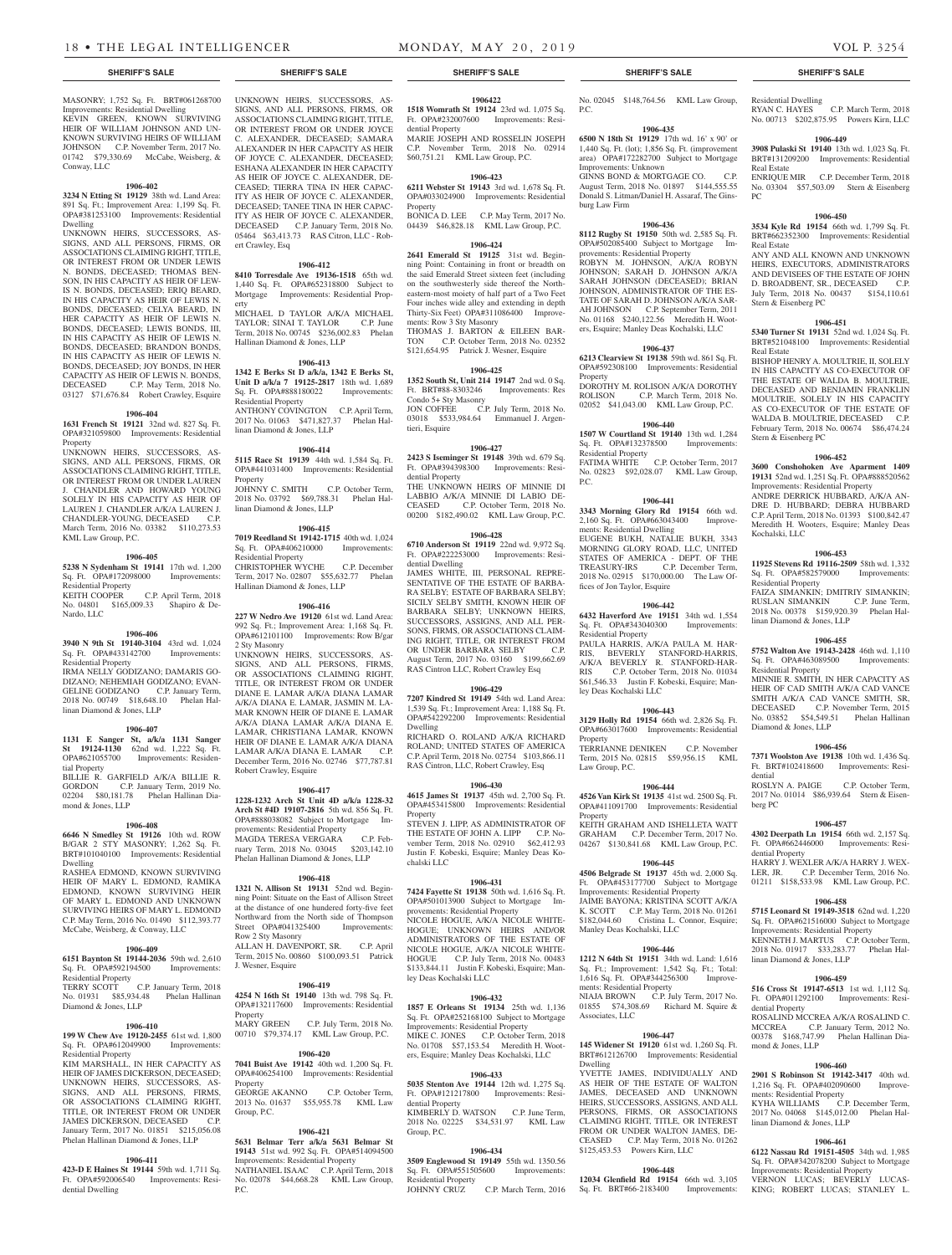MASONRY; 1,752 Sq. Ft. BRT#061268700 Improvements: Residential Dwelling

KEVIN GREEN, KNOWN SURVIVING HEIR OF WILLIAM JOHNSON AND UN-KNOWN SURVIVING HEIRS OF WILLIAM JOHNSON C.P. November Term, 2017 No. 01742 \$79,330.69 McCabe, Weisberg, & Conway, LLC

#### **1906-402**

**3234 N Etting St 19129** 38th wd. Land Area: 891 Sq. Ft.; Improvement Area: 1,199 Sq. Ft. OPA#381253100 Improvements: Residential Dwelling

UNKNOWN HEIRS, SUCCESSORS, AS-SIGNS, AND ALL PERSONS, FIRMS, OR ASSOCIATIONS CLAIMING RIGHT, TITLE, OR INTEREST FROM OR UNDER LEWIS N. BONDS, DECEASED; THOMAS BEN-SON, IN HIS CAPACITY AS HEIR OF LEW-IS N. BONDS, DECEASED; ERIQ BEARD, IN HIS CAPACITY AS HEIR OF LEWIS N. BONDS, DECEASED; CELYA BEARD, IN HER CAPACITY AS HEIR OF LEWIS N. BONDS, DECEASED; LEWIS BONDS, III, IN HIS CAPACITY AS HEIR OF LEWIS N. BONDS, DECEASED; BRANDON BONDS, IN HIS CAPACITY AS HEIR OF LEWIS N. BONDS, DECEASED; JOY BONDS, IN HER CAPACITY AS HEIR OF LEWIS N. BONDS, DECEASED C.P. May Term, 2018 No. 03127 \$71,676.84 Robert Crawley, Esquire

# **1906-404**

**1631 French St 19121** 32nd wd. 827 Sq. Ft. OPA#321059800 Improvements: Residential Property

UNKNOWN HEIRS, SUCCESSORS, AS-SIGNS, AND ALL PERSONS, FIRMS, OR ASSOCIATIONS CLAIMING RIGHT, TITLE, OR INTEREST FROM OR UNDER LAUREN J. CHANDLER AND HOWARD YOUNG SOLELY IN HIS CAPACITY AS HEIR OF LAUREN J. CHANDLER A/K/A LAUREN J.<br>CHANDLER-YOUNG DECEASED CP CHANDLER-YOUNG, DECEASED March Term, 2016 No. 03382 \$110,273.53 KML Law Group, P.C.

# **1906-405**

**5238 N Sydenham St 19141** 17th wd. 1,200 Sq. Ft. OPA#172098000 Improvements: Residential Property<br>KEITH COOPER KEITH COOPER C.P. April Term, 2018

No. 04801 \$165,009.33 Shapiro & De-Nardo, LLC

# **1906-406**

**3940 N 9th St 19140-3104** 43rd wd. 1,024 Sq. Ft. OPA#433142700 Improvements: Residential Property

IRMA NELLY GODIZANO; DAMARIS GO-DIZANO; NEHEMIAH GODIZANO; EVAN-GELINE GODIZANO C.P. January Term, 2018 No. 00749 \$18,648.10 Phelan Hallinan Diamond & Jones, LLP

# **1906-407**

**1131 E Sanger St, a/k/a 1131 Sanger St 19124-1130** 62nd wd. 1,222 Sq. Ft. OPA#621055700 Improvements: Residential Property

BILLIE R. GARFIELD A/K/A BILLIE R. GORDON C.P. January Term, 2019 No. 02204 \$80,181.78 Phelan Hallinan Diamond & Jones, LLP

# **1906-408**

**6646 N Smedley St 19126** 10th wd. ROW B/GAR 2 STY MASONRY; 1,262 Sq. Ft. BRT#101040100 Improvements: Residential Dwelling

RASHEA EDMOND, KNOWN SURVIVING HEIR OF MARY L. EDMOND, RAMIKA EDMOND, KNOWN SURVIVING HEIR OF MARY L. EDMOND AND UNKNOWN SURVIVING HEIRS OF MARY L. EDMOND C.P. May Term, 2016 No. 01490 \$112,393.77 McCabe, Weisberg, & Conway, LLC

# **1906-409**

**6151 Baynton St 19144-2036** 59th wd. 2,610 Sq. Ft. OPA#592194500 Improvements: Residential Property TERRY SCOTT C.P. January Term, 2018 No. 01931 \$85,934.48 Phelan Hallinan Diamond & Jones, LLP

# **1906-410**

OPA#612049900 Improvements: Residential Property

KIM MARSHALL, IN HER CAPACITY AS HEIR OF JAMES DICKERSON, DECEASED; UNKNOWN HEIRS, SUCCESSORS, AS-SIGNS, AND ALL PERSONS, FIRMS, OR ASSOCIATIONS CLAIMING RIGHT, TITLE, OR INTEREST FROM OR UNDER JAMES DICKERSON, DECEASED C.P. January Term, 2017 No. 01851 \$215,056.08 Phelan Hallinan Diamond & Jones, LLP

# **1906-411**

**423-D E Haines St 19144** 59th wd. 1,711 Sq. Ft. OPA#592006540 Improvements: Residential Dwelling

UNKNOWN HEIRS, SUCCESSORS, AS-SIGNS, AND ALL PERSONS, FIRMS, OR ASSOCIATIONS CLAIMING RIGHT, TITLE, OR INTEREST FROM OR UNDER JOYCE C. ALEXANDER, DECEASED; SAMARA ALEXANDER IN HER CAPACITY AS HEIR OF JOYCE C. ALEXANDER, DECEASED; ESHANA ALEXANDER IN HER CAPACITY AS HEIR OF JOYCE C. ALEXANDER, DE-CEASED; TIERRA TINA IN HER CAPAC-ITY AS HEIR OF JOYCE C. ALEXANDER, DECEASED; TANEE TINA IN HER CAPAC-ITY AS HEIR OF JOYCE C. ALEXANDER, DECEASED C.P. January Term, 2018 No. 05464 \$63,413.73 RAS Citron, LLC - Robert Crawley, Esq

# **1906-412**

**8410 Torresdale Ave 19136-1518** 65th wd. 1,440 Sq. Ft. OPA#652318800 Subject to Mortgage Improvements: Residential Property

MICHAEL D TAYLOR A/K/A MICHAEL TAYLOR; SINAI T. TAYLOR C.P. June Term, 2018 No. 00745 \$236,002.83 Phelan Hallinan Diamond & Jones, LLP

# **1906-413**

**1342 E Berks St D a/k/a, 1342 E Berks St, Unit D a/k/a 7 19125-2817** 18th wd. 1,689 Sq. Ft. OPA#888180022 Improvements: Residential Property ANTHONY COVINGTON C.P. April Term, 2017 No. 01063 \$471,827.37 Phelan Hallinan Diamond & Jones, LLP

# **1906-414**

**5115 Race St 19139** 44th wd. 1,584 Sq. Ft. OPA#441031400 Improvements: Residential Property JOHNNY C. SMITH C.P. October Term,

2018 No. 03792 \$69,788.31 Phelan Hallinan Diamond & Jones, LLP

#### **1906-415**

**7019 Reedland St 19142-1715** 40th wd. 1,024 Sq. Ft. OPA#406210000 Improvements: Residential Property CHRISTOPHER WYCHE C.P. December Term, 2017 No. 02807 \$55,632.77 Phelan Hallinan Diamond & Jones, LLP

# **1906-416**

**227 W Nedro Ave 19120** 61st wd. Land Area: 992 Sq. Ft.; Improvement Area: 1,168 Sq. Ft. OPA#612101100 Improvements: Row B/gar 2 Sty Masonry UNKNOWN HEIRS, SUCCESSORS, AS-

SIGNS, AND ALL PERSONS, FIRMS, OR ASSOCIATIONS CLAIMING RIGHT, TITLE, OR INTEREST FROM OR UNDER DIANE E. LAMAR A/K/A DIANA LAMAR A/K/A DIANA E. LAMAR, JASMIN M. LA-MAR KNOWN HEIR OF DIANE E. LAMAR A/K/A DIANA LAMAR A/K/A DIANA E. LAMAR, CHRISTIANA LAMAR, KNOWN HEIR OF DIANE E. LAMAR A/K/A DIANA LAMAR A/K/A DIANA E. LAMAR C.P. December Term, 2016 No. 02746 \$77,787.81 Robert Crawley, Esquire

# **1906-417**

**1228-1232 Arch St Unit 4D a/k/a 1228-32 Arch St #4D 19107-2816** 5th wd. 856 Sq. Ft. OPA#888038082 Subject to Mortgage Improvements: Residential Property

MAGDA TERESA VERGARA C.P. February Term, 2018 No. 03045 \$203,142.10 Phelan Hallinan Diamond & Jones, LLP

# **1906-418**

**1321 N. Allison St 19131** 52nd wd. Beginning Point: Situate on the East of Allison Street at the distance of one hundered forty-five feet Northward from the North side of Thompson<br>Street OPA#041325400 Improvements: Street OPA#041325400 Row 2 Sty Masonry ALLAN H. DAVENPORT, SR. C.P. April

Term, 2015 No. 00860 \$100,093.51 Patrick J. Wesner, Esquire

# **1906-419**

**199 W Chew Ave 19120-2455** 61st wd. 1,800 00710 \$79,374.17 KML Law Group, P.C. **4254 N 16th St 19140** 13th wd. 798 Sq. Ft. OPA#132117600 Improvements: Residential Property MARY GREEN C.P. July Term, 2018 No.

## **1906-420**

**7041 Buist Ave 19142** 40th wd. 1,200 Sq. Ft. OPA#406254100 Improvements: Residential Property GEORGE AKANNO C.P. October Term, 2013 No. 01637 \$55,955.78 KML Law Group, P.C.

### **1906-421 5631 Belmar Terr a/k/a 5631 Belmar St**

**19143** 51st wd. 992 Sq. Ft. OPA#514094500 Improvements: Residential Property

NATHANIEL ISAAC C.P. April Term, 2018 No. 02078 \$44,668.28 KML Law Group, P.C.

**1906422 1518 Womrath St 19124** 23rd wd. 1,075 Sq. Ft. OPA#232007600 Improvements: Residential Property MARIE JOSEPH AND ROSSELIN JOSEPH

C.P. November Term, 2018 No. 02914 \$60,751.21 KML Law Group, P.C. **1906-423**

**6211 Webster St 19143** 3rd wd. 1,678 Sq. Ft. OPA#033024900 Improvements: Residential Property BONICA D. LEE C.P. May Term, 2017 No.

04439 \$46,828.18 KML Law Group, P.C.

# **1906-424**

**2641 Emerald St 19125** 31st wd. Beginning Point: Containing in front or breadth on the said Emerald Street sixteen feet (including on the southwesterly side thereof the Northeastern-most moiety of half part of a Two Feet Four inches wide alley and extending in depth Thirty-Six Feet) OPA#311086400 Improvements: Row 3 Sty Masonry THOMAS J. BARTON & EILEEN BAR-TON C.P. October Term, 2018 No. 02352 \$121,654.95 Patrick J. Wesner, Esquire

#### **1906-425**

**1352 South St, Unit 214 19147** 2nd wd. 0 Sq. Ft. BRT#88-8303246 Improvements: Res Condo 5+ Sty Masonry JON COFFEE C.P. July Term, 2018 No. 03018 \$533,984.64 Emmanuel J. Argentieri, Esquire

### **1906-427**

**2423 S Iseminger St 19148** 39th wd. 679 Sq. Ft. OPA#394398300 Improvements: Residential Property THE UNKNOWN HEIRS OF MINNIE DI

LABBIO A/K/A MINNIE DI LABIO DE-CEASED C.P. October Term, 2018 No. 00200 \$182,490.02 KML Law Group, P.C.

# **1906-428**

**6710 Anderson St 19119** 22nd wd. 9,972 Sq. Ft. OPA#222253000 Improvements: Residential Dwelling JAMES WHITE, III, PERSONAL REPRE-SENTATIVE OF THE ESTATE OF BARBA-RA SELBY; ESTATE OF BARBARA SELBY; SICILY SELBY SMITH, KNOWN HEIR OF BARBARA SELBY; UNKNOWN HEIRS, SUCCESSORS, ASSIGNS, AND ALL PER-SONS, FIRMS, OR ASSOCIATIONS CLAIM-ING RIGHT, TITLE, OR INTEREST FROM OR UNDER BARBARA SELBY C.P. August Term, 2017 No. 03160 \$199,662.69 RAS Cintron LLC, Robert Crawley Esq

# **1906-429**

**7207 Kindred St 19149** 54th wd. Land Area: 1,539 Sq. Ft.; Improvement Area: 1,188 Sq. Ft. OPA#542292200 Improvements: Residential Dwelling

RICHARD O. ROLAND A/K/A RICHARD ROLAND; UNITED STATES OF AMERICA C.P. April Term, 2018 No. 02754 \$103,866.11 RAS Cintron, LLC, Robert Crawley, Esq

### **1906-430**

**4615 James St 19137** 45th wd. 2,700 Sq. Ft. OPA#453415800 Improvements: Residential Property STEVEN J. LIPP, AS ADMINISTRATOR OF THE ESTATE OF JOHN A. LIPP C.P. November Term, 2018 No. 02910 \$62,412.93 Justin F. Kobeski, Esquire; Manley Deas Ko-

# **1906-431**

chalski LLC

**7424 Fayette St 19138** 50th wd. 1,616 Sq. Ft. OPA#501013900 Subject to Mortgage Improvements: Residential Property NICOLE HOGUE, A/K/A NICOLE WHITE-HOGUE; UNKNOWN HEIRS AND/OR ADMINISTRATORS OF THE ESTATE OF NICOLE HOGUE, A/K/A NICOLE WHITE-HOGUE C.P. July Term, 2018 No. 00483 \$133,844.11 Justin F. Kobeski, Esquire; Manley Deas Kochalski LLC

# **1906-432**

**1857 E Orleans St 19134** 25th wd. 1,136 Sq. Ft. OPA#252168100 Subject to Mortgage Improvements: Residential Property MIKE C. JONES C.P. October Term, 2018<br>No. 01708 \$57,153.54 Meredith H. Woot- $$57,153.54$ ers, Esquire; Manley Deas Kochalski, LLC

### **1906-433**

**5035 Stenton Ave 19144** 12th wd. 1,275 Sq. Ft. OPA#121217800 Improvements: Residential Property KIMBERLY D. WATSON C.P. June Term, 2018 No. 02225 \$34,531.97 KML Law

# **1906-434**

Group, P.C.

**3509 Englewood St 19149** 55th wd. 1350.56 Sq. Ft. OPA#551505600 Improvements: Residential Property<br>JOHNNY CRUZ

C.P. March Term, 2016

**SHERIFF'S SALE SHERIFF'S SALE SHERIFF'S SALE SHERIFF'S SALE SHERIFF'S SALE**

No. 02045 \$148,764.56 KML Law Group, P.C.

Residential Dwelling

Real Estate

Real Estate

Real Estate

Stern & Eisenberg PC

Stern & Eisenberg PC

Kochalski, LLC

Residential Property

Residential Property

Diamond & Jones, LLP

dential

berg PC

dential Property

linan Diamond & Jones, LLP

dential Property

mond & Jones, LLP

ments: Residential Property

linan Diamond & Jones, LLP

linan Diamond & Jones, LLP

PC

RYAN C. HAYES C.P. March Term, 2018 No. 00713 \$202,875.95 Powers Kirn, LLC **1906-449 3908 Pulaski St 19140** 13th wd. 1,023 Sq. Ft. BRT#131209200 Improvements: Residential

ENRIQUE MIR C.P. December Term, 2018 No. 03304 \$57,503.09 Stern & Eisenberg

**1906-450 3534 Kyle Rd 19154** 66th wd. 1,799 Sq. Ft. BRT#662352300 Improvements: Residential

ANY AND ALL KNOWN AND UNKNOWN HEIRS, EXECUTORS, ADMINISTRATORS AND DEVISEES OF THE ESTATE OF JOHN D. BROADBENT, SR., DECEASED C.P. July Term, 2018 No. 00437 \$154,110.61

**1906-451 5340 Turner St 19131** 52nd wd. 1,024 Sq. Ft. BRT#521048100 Improvements: Residential

BISHOP HENRY A. MOULTRIE, IL SOLELY IN HIS CAPACITY AS CO-EXECUTOR OF THE ESTATE OF WALDA B. MOULTRIE, DECEASED AND BENJAMIN FRANKLIN MOULTRIE, SOLELY IN HIS CAPACITY AS CO-EXECUTOR OF THE ESTATE OF WALDA B. MOULTRIE, DECEASED C.P. February Term, 2018 No. 00674 \$86,474.24

**1906-452 3600 Conshohoken Ave Aparment 1409 19131** 52nd wd. 1,251 Sq. Ft. OPA#888520562 Improvements: Residential Property ANDRE DERRICK HUBBARD, A/K/A AN-DRE D. HUBBARD; DEBRA HUBBARD C.P. April Term, 2018 No. 01393 \$100,842.47 Meredith H. Wooters, Esquire; Manley Deas

**1906-453 11925 Stevens Rd 19116-2509** 58th wd. 1,332 Sq. Ft. OPA#582579000 Improvements:

FAIZA SIMANKIN; DMITRIY SIMANKIN; RUSLAN SIMANKIN C.P. June Term, 2018 No. 00378 \$159,920.39 Phelan Hal-

**1906-455 5752 Walton Ave 19143-2428** 46th wd. 1,110 Sq. Ft. OPA#463089500 Improvements:

MINNIE R. SMITH, IN HER CAPACITY AS HEIR OF CAD SMITH A/K/A CAD VANCE SMITH A/K/A CAD VANCE SMITH, SR, DECEASED C.P. November Term, 2015 No. 03852 \$54,549.51 Phelan Hallinan

**1906-456 7371 Woolston Ave 19138** 10th wd. 1,436 Sq. Ft. BRT#102418600 Improvements: Resi-

ROSLYN A. PAIGE C.P. October Term, 2017 No. 01014 \$86,939.64 Stern & Eisen-

**1906-457 4302 Deerpath Ln 19154** 66th wd. 2,157 Sq. Ft. OPA#662446000 Improvements: Resi-

HARRY J. WEXLER A/K/A HARRY J. WEX-<br>LER. JR. C.P. December Term. 2016 No.

01211 \$158,533.98 KML Law Group, P.C. **1906-458 5715 Leonard St 19149-3518** 62nd wd. 1,220 Sq. Ft. OPA#621516000 Subject to Mortgage Improvements: Residential Property KENNETH J. MARTUS C.P. October Term, 2018 No. 01917 \$33,283.77 Phelan Hal-

**1906-459 516 Cross St 19147-6513** 1st wd. 1,112 Sq. Ft. OPA#011292100 Improvements: Resi-

ROSALIND MCCREA A/K/A ROSALIND C. MCCREA C.P. January Term, 2012 No. 00378 \$168,747.99 Phelan Hallinan Dia-

**1906-460 2901 S Robinson St 19142-3417** 40th wd. 1,216 Sq. Ft. OPA#402090600 Improve-

KYHA WILLIAMS C.P. December Term, 2017 No. 04068 \$145,012.00 Phelan Hal-

**1906-461 6122 Nassau Rd 19151-4505** 34th wd. 1,985 Sq. Ft. OPA#342078200 Subject to Mortgage Improvements: Residential Property VERNON LUCAS; BEVERLY LUCAS-KING; ROBERT LUCAS; STANLEY L.

C.P. December Term, 2016 No.

# **1906-435**

**6500 N 18th St 19129** 17th wd. 16' x 90' or 1,440 Sq. Ft. (lot); 1,856 Sq. Ft. (improvement area) OPA#172282700 Subject to Mortgage Improvements: Unknown GINNS BOND & MORTGAGE CO. C.P. August Term, 2018 No. 01897 \$144,555.55 Donald S. Litman/Daniel H. Assaraf, The Ginsburg Law Firm

#### **1906-436**

**8112 Rugby St 19150** 50th wd. 2,585 Sq. Ft. OPA#502085400 Subject to Mortgage Improvements: Residential Property

ROBYN M. JOHNSON, A/K/A ROBYN JOHNSON; SARAH D. JOHNSON A/K/A SARAH JOHNSON (DECEASED); BRIAN JOHNSON, ADMINISTRATOR OF THE ES-TATE OF SARAH D. JOHNSON A/K/A SAR-AH JOHNSON C.P. September Term, 2011 No. 01168 \$240,122.56 Meredith H. Wooters, Esquire; Manley Deas Kochalski, LLC

# **1906-437**

**6213 Clearview St 19138** 59th wd. 861 Sq. Ft. OPA#592308100 Improvements: Residential Property

DOROTHY M. ROLISON A/K/A DOROTHY ROLISON C.P. March Term, 2018 No. 02052 \$41,043.00 KML Law Group, P.C.

# **1906-440**

**1507 W Courtland St 19140** 13th wd. 1,284 Sq. Ft. OPA#132378500 Improvements: Residential Property FATIMA WHITE C.P. October Term, 2017 No. 02823 \$92,028.07 KML Law Group, P.C.

# **1906-441**

**3343 Morning Glory Rd 19154** 66th wd. 2,160 Sq. Ft. OPA#663043400 Improvements: Residential Dwelling EUGENE BUKH, NATALIE BUKH, 3343 MORNING GLORY ROAD, LLC, UNITED STATES OF AMERICA - DEPT. OF THE TREASURY-IRS C.P. December Term, 2018 No. 02915 \$170,000.00 The Law Offices of Jon Taylor, Esquire

**1906-442 6432 Haverford Ave 19151** 34th wd. 1,554 Sq. Ft. OPA#343040300 Improvements:

PAULA HARRIS, A/K/A PAULA M. HAR-RIS, BEVERLY STANFORD-HARRIS, A/K/A BEVERLY R. STANFORD-HAR-RIS C.P. October Term, 2018 No. 01034 \$61,546.33 Justin F. Kobeski, Esquire; Man-

**1906-443 3129 Holly Rd 19154** 66th wd. 2,826 Sq. Ft. OPA#663017600 Improvements: Residential

TERRIANNE DENIKEN C.P. November Term, 2015 No. 02815 \$59,956.15 KML

**1906-444 4526 Van Kirk St 19135** 41st wd. 2500 Sq. Ft. OPA#411091700 Improvements: Residential

KEITH GRAHAM AND ISHELLETA WATT GRAHAM C.P. December Term, 2017 No. 04267 \$130,841.68 KML Law Group, P.C. **1906-445 4506 Belgrade St 19137** 45th wd. 2,000 Sq. Ft. OPA#453177700 Subject to Mortgage Improvements: Residential Property JAIME BAYONA; KRISTINA SCOTT A/K/A K. SCOTT C.P. May Term, 2018 No. 01261 \$182,044.60 Cristina L. Connor, Esquire;

**1906-446 1212 N 64th St 19151** 34th wd. Land: 1,616 Sq. Ft.; Improvement: 1,542 Sq. Ft.; Total: 1,616 Sq. Ft. OPA#344256300 Improve-

NIAJA BROWN C.P. July Term, 2017 No. 01855 \$74,308.69 Richard M. Squire &

**1906-447 145 Widener St 19120** 61st wd. 1,260 Sq. Ft. BRT#612126700 Improvements: Residential

YVETTE JAMES, INDIVIDUALLY AND AS HEIR OF THE ESTATE OF WALTON JAMES, DECEASED AND UNKNOWN HEIRS, SUCCESSORS, ASSIGNS, AND ALL PERSONS, FIRMS, OR ASSOCIATIONS CLAIMING RIGHT, TITLE, OR INTEREST FROM OR UNDER WALTON JAMES, DE-CEASED C.P. May Term, 2018 No. 01262

**1906-448 12034 Glenfield Rd 19154** 66th wd. 3,105 Sq. Ft. BRT#66-2183400 Improvements:

\$125,453.53 Powers Kirn, LLC

Manley Deas Kochalski, LLC

ments: Residential Property

Associates, LLC

Dwelling

Residential Property

ley Deas Kochalski LLC

Property

Property

Law Group, P.C.